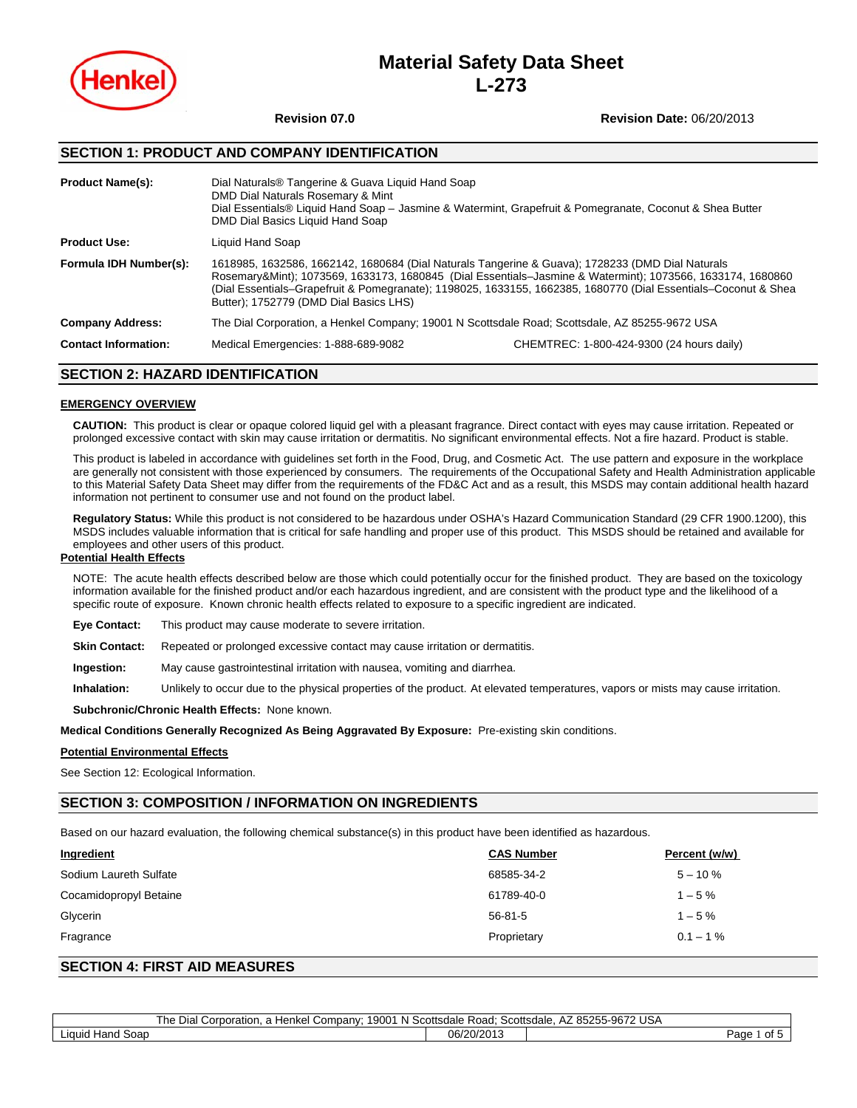

# **Material Safety Data Sheet L-273**

## **Revision 07.0 Revision Date:** 06/20/2013

# **SECTION 1: PRODUCT AND COMPANY IDENTIFICATION**

| <b>Product Name(s):</b>     | Dial Naturals® Tangerine & Guava Liquid Hand Soap<br>DMD Dial Naturals Rosemary & Mint<br>DMD Dial Basics Liquid Hand Soap                                                                                                                                                                                                                                                 | Dial Essentials® Liquid Hand Soap – Jasmine & Watermint, Grapefruit & Pomegranate, Coconut & Shea Butter |  |
|-----------------------------|----------------------------------------------------------------------------------------------------------------------------------------------------------------------------------------------------------------------------------------------------------------------------------------------------------------------------------------------------------------------------|----------------------------------------------------------------------------------------------------------|--|
| <b>Product Use:</b>         | Liquid Hand Soap                                                                                                                                                                                                                                                                                                                                                           |                                                                                                          |  |
| Formula IDH Number(s):      | 1618985, 1632586, 1662142, 1680684 (Dial Naturals Tangerine & Guava); 1728233 (DMD Dial Naturals<br>Rosemary&Mint); 1073569, 1633173, 1680845 (Dial Essentials-Jasmine & Watermint); 1073566, 1633174, 1680860<br>(Dial Essentials–Grapefruit & Pomegranate); 1198025, 1633155, 1662385, 1680770 (Dial Essentials–Coconut & Shea<br>Butter); 1752779 (DMD Dial Basics LHS) |                                                                                                          |  |
| <b>Company Address:</b>     | The Dial Corporation, a Henkel Company; 19001 N Scottsdale Road; Scottsdale, AZ 85255-9672 USA                                                                                                                                                                                                                                                                             |                                                                                                          |  |
| <b>Contact Information:</b> | Medical Emergencies: 1-888-689-9082<br>CHEMTREC: 1-800-424-9300 (24 hours daily)                                                                                                                                                                                                                                                                                           |                                                                                                          |  |

# **SECTION 2: HAZARD IDENTIFICATION**

### **EMERGENCY OVERVIEW**

**CAUTION:** This product is clear or opaque colored liquid gel with a pleasant fragrance. Direct contact with eyes may cause irritation. Repeated or prolonged excessive contact with skin may cause irritation or dermatitis. No significant environmental effects. Not a fire hazard. Product is stable.

This product is labeled in accordance with guidelines set forth in the Food, Drug, and Cosmetic Act. The use pattern and exposure in the workplace are generally not consistent with those experienced by consumers. The requirements of the Occupational Safety and Health Administration applicable to this Material Safety Data Sheet may differ from the requirements of the FD&C Act and as a result, this MSDS may contain additional health hazard information not pertinent to consumer use and not found on the product label.

**Regulatory Status:** While this product is not considered to be hazardous under OSHA's Hazard Communication Standard (29 CFR 1900.1200), this MSDS includes valuable information that is critical for safe handling and proper use of this product. This MSDS should be retained and available for employees and other users of this product.

### **Potential Health Effects**

NOTE: The acute health effects described below are those which could potentially occur for the finished product. They are based on the toxicology information available for the finished product and/or each hazardous ingredient, and are consistent with the product type and the likelihood of a specific route of exposure. Known chronic health effects related to exposure to a specific ingredient are indicated.

**Eye Contact:** This product may cause moderate to severe irritation.

**Skin Contact:** Repeated or prolonged excessive contact may cause irritation or dermatitis.

**Ingestion:** May cause gastrointestinal irritation with nausea, vomiting and diarrhea.

**Inhalation:** Unlikely to occur due to the physical properties of the product. At elevated temperatures, vapors or mists may cause irritation.

**Subchronic/Chronic Health Effects:** None known.

**Medical Conditions Generally Recognized As Being Aggravated By Exposure:** Pre-existing skin conditions.

### **Potential Environmental Effects**

See Section 12: Ecological Information.

# **SECTION 3: COMPOSITION / INFORMATION ON INGREDIENTS**

Based on our hazard evaluation, the following chemical substance(s) in this product have been identified as hazardous.

| <b>Ingredient</b>      | <b>CAS Number</b> | Percent (w/w) |
|------------------------|-------------------|---------------|
| Sodium Laureth Sulfate | 68585-34-2        | $5 - 10 \%$   |
| Cocamidopropyl Betaine | 61789-40-0        | $1 - 5%$      |
| Glycerin               | $56 - 81 - 5$     | $1 - 5\%$     |
| Fragrance              | Proprietary       | $0.1 - 1\%$   |

# **SECTION 4: FIRST AID MEASURES**

|                       | <b>The</b><br>$\overline{\phantom{0}}$<br>$\cdots$<br>$\cdots$<br>Dial<br>Corporation<br>:hkel Company<br>⊣^n'<br>N.<br>1900.<br>чкег<br>- 102<br>. | . Scottsdale<br>Road. | 9672 USA<br>85255-967<br>Scottsdale.<br>∼ |
|-----------------------|-----------------------------------------------------------------------------------------------------------------------------------------------------|-----------------------|-------------------------------------------|
| Hand Soap<br>∟ıauıd F |                                                                                                                                                     | 06/20/2013            | . .<br>⊾מפ<br>of 5<br>auc                 |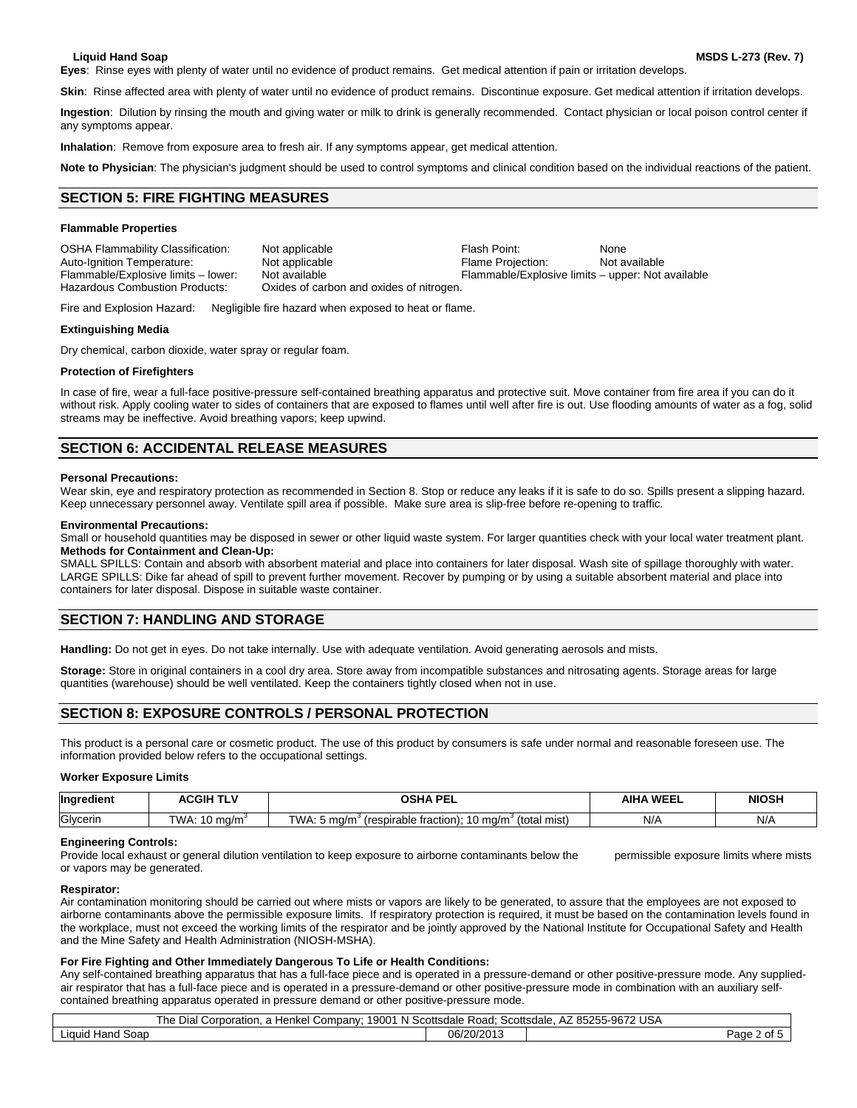**Eyes**:Rinse eyes with plenty of water until no evidence of product remains. Get medical attention if pain or irritation develops.

Skin: Rinse affected area with plenty of water until no evidence of product remains. Discontinue exposure. Get medical attention if irritation develops.

**Ingestion**:Dilution by rinsing the mouth and giving water or milk to drink is generally recommended. Contact physician or local poison control center if any symptoms appear.

**Inhalation**: Remove from exposure area to fresh air. If any symptoms appear, get medical attention.

**Note to Physician**: The physician's judgment should be used to control symptoms and clinical condition based on the individual reactions of the patient.

#### 6B**SECTION 5: FIRE FIGHTING MEASURES**

#### **Flammable Properties**

| <b>OSHA Flammability Classification:</b> | Not applicable                           | Flash Point:                                      | None          |
|------------------------------------------|------------------------------------------|---------------------------------------------------|---------------|
| Auto-Ignition Temperature:               | Not applicable                           | <b>Flame Projection:</b>                          | Not available |
| Flammable/Explosive limits - lower:      | Not available                            | Flammable/Explosive limits – upper: Not available |               |
| Hazardous Combustion Products:           | Oxides of carbon and oxides of nitrogen. |                                                   |               |

Fire and Explosion Hazard: Negligible fire hazard when exposed to heat or flame.

#### **Extinguishing Media**

Dry chemical, carbon dioxide, water spray or regular foam.

#### **Protection of Firefighters**

In case of fire, wear a full-face positive-pressure self-contained breathing apparatus and protective suit. Move container from fire area if you can do it without risk. Apply cooling water to sides of containers that are exposed to flames until well after fire is out. Use flooding amounts of water as a fog, solid streams may be ineffective. Avoid breathing vapors; keep upwind.

### **SECTION 6: ACCIDENTAL RELEASE MEASURES**

#### **Personal Precautions:**

Wear skin, eye and respiratory protection as recommended in Section 8. Stop or reduce any leaks if it is safe to do so. Spills present a slipping hazard. Keep unnecessary personnel away. Ventilate spill area if possible. Make sure area is slip-free before re-opening to traffic.

#### **Environmental Precautions:**

Small or household quantities may be disposed in sewer or other liquid waste system. For larger quantities check with your local water treatment plant. **Methods for Containment and Clean-Up:** 

SMALL SPILLS: Contain and absorb with absorbent material and place into containers for later disposal. Wash site of spillage thoroughly with water. LARGE SPILLS: Dike far ahead of spill to prevent further movement. Recover by pumping or by using a suitable absorbent material and place into containers for later disposal. Dispose in suitable waste container.

# **SECTION 7: HANDLING AND STORAGE**

**Handling:** Do not get in eyes. Do not take internally. Use with adequate ventilation. Avoid generating aerosols and mists.

**Storage:** Store in original containers in a cool dry area. Store away from incompatible substances and nitrosating agents. Storage areas for large quantities (warehouse) should be well ventilated. Keep the containers tightly closed when not in use.

# **SECTION 8: EXPOSURE CONTROLS / PERSONAL PROTECTION**

This product is a personal care or cosmetic product. The use of this product by consumers is safe under normal and reasonable foreseen use. The information provided below refers to the occupational settings.

#### **Worker Exposure Limits**

| <b>Ingredient</b> | <b>ACGIH TI '</b> | <b>OSHA DEI</b>                                                                                                      | <b>AIHA WEEL</b> | <b>NIOSH</b> |
|-------------------|-------------------|----------------------------------------------------------------------------------------------------------------------|------------------|--------------|
| Glvcerin          | TWA.<br>, ma/m    | TWA.<br>$\sim$ traction). $40 \sim$<br>∀total :<br>mist)<br>∤ ma/m°<br>ma/m<br>respirable<br>* iraction).<br>$\cdot$ | N/f              | N/A          |

#### **Engineering Controls:**

Provide local exhaust or general dilution ventilation to keep exposure to airborne contaminants below the permissible exposure limits where mists or vapors may be generated.

#### **Respirator:**

Air contamination monitoring should be carried out where mists or vapors are likely to be generated, to assure that the employees are not exposed to airborne contaminants above the permissible exposure limits. If respiratory protection is required, it must be based on the contamination levels found in the workplace, must not exceed the working limits of the respirator and be jointly approved by the National Institute for Occupational Safety and Health and the Mine Safety and Health Administration (NIOSH-MSHA).

#### **For Fire Fighting and Other Immediately Dangerous To Life or Health Conditions:**

Any self-contained breathing apparatus that has a full-face piece and is operated in a pressure-demand or other positive-pressure mode. Any suppliedair respirator that has a full-face piece and is operated in a pressure-demand or other positive-pressure mode in combination with an auxiliary selfcontained breathing apparatus operated in pressure demand or other positive-pressure mode.

| <b>USA</b><br>1000<br>85255-9672<br>-he<br>Dial<br>Scottsdale<br>Road <sup>-</sup><br>scottsdale<br>Company<br>Corporation<br>⊣enkel<br>-N-<br>. u,<br>AZ.<br>. |  |                       |                           |
|-----------------------------------------------------------------------------------------------------------------------------------------------------------------|--|-----------------------|---------------------------|
| . .<br>Hand Soap<br>Liquid                                                                                                                                      |  | 06/20/2011<br>20/2013 | Page<br>∠ ot <del>F</del> |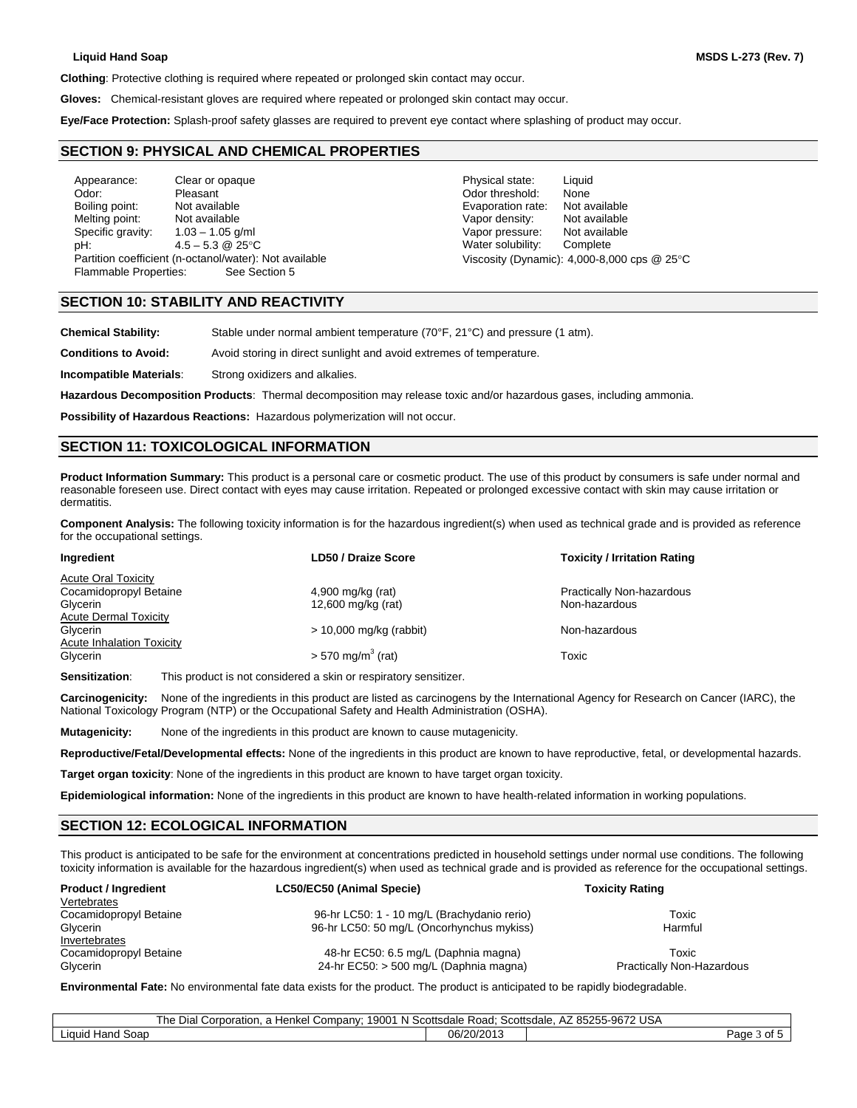**Clothing**: Protective clothing is required where repeated or prolonged skin contact may occur.

**Gloves:** Chemical-resistant gloves are required where repeated or prolonged skin contact may occur.

**Eye/Face Protection:** Splash-proof safety glasses are required to prevent eye contact where splashing of product may occur.

#### 3B**SECTION 9: PHYSICAL AND CHEMICAL PROPERTIES**

Appearance: Clear or opaque **Physical state:** Liquid Odor: Pleasant Odor threshold: None Melting point: Not available Vapor density: Not available Vapor density: Specific gravity:  $1.03 - 1.05$  g/ml<br>
oH:  $4.5 - 5.3$  @ 25°C  $\qquad$  Water solubility: Complete pH:  $4.5 - 5.3 \text{ @ } 25^{\circ}\text{C}$  Water solubility: Partition coefficient (n-octanol/water): Not available Viscosity (Dynamic): 4,000-8,000 cps @ 25°C Flammable Properties: See Section 5

Not available **Not available Not available Not available Not available Not available Not available Not available Not available Not available Not available Not available Not available Not available**

# **SECTION 10: STABILITY AND REACTIVITY**

**Chemical Stability:** Stable under normal ambient temperature (70°F, 21°C) and pressure (1 atm).

**Conditions to Avoid:** Avoid storing in direct sunlight and avoid extremes of temperature.

**Incompatible Materials**: Strong oxidizers and alkalies.

**Hazardous Decomposition Products**: Thermal decomposition may release toxic and/or hazardous gases, including ammonia.

**Possibility of Hazardous Reactions:** Hazardous polymerization will not occur.

### **SECTION 11: TOXICOLOGICAL INFORMATION**

**Product Information Summary:** This product is a personal care or cosmetic product. The use of this product by consumers is safe under normal and reasonable foreseen use. Direct contact with eyes may cause irritation. Repeated or prolonged excessive contact with skin may cause irritation or dermatitis.

**Component Analysis:** The following toxicity information is for the hazardous ingredient(s) when used as technical grade and is provided as reference for the occupational settings.

| Ingredient                       | <b>LD50 / Draize Score</b>      | <b>Toxicity / Irritation Rating</b> |
|----------------------------------|---------------------------------|-------------------------------------|
| <b>Acute Oral Toxicity</b>       |                                 |                                     |
| Cocamidopropyl Betaine           | 4,900 mg/kg (rat)               | Practically Non-hazardous           |
| Glycerin                         | 12,600 mg/kg (rat)              | Non-hazardous                       |
| <b>Acute Dermal Toxicity</b>     |                                 |                                     |
| Glycerin                         | $> 10,000$ mg/kg (rabbit)       | Non-hazardous                       |
| <b>Acute Inhalation Toxicity</b> |                                 |                                     |
| Glycerin                         | $> 570$ mg/m <sup>3</sup> (rat) | Toxic                               |
|                                  |                                 |                                     |

**Sensitization:** This product is not considered a skin or respiratory sensitizer.

**Carcinogenicity:** None of the ingredients in this product are listed as carcinogens by the International Agency for Research on Cancer (IARC), the National Toxicology Program (NTP) or the Occupational Safety and Health Administration (OSHA).

**Mutagenicity:** None of the ingredients in this product are known to cause mutagenicity.

**Reproductive/Fetal/Developmental effects:** None of the ingredients in this product are known to have reproductive, fetal, or developmental hazards.

**Target organ toxicity**: None of the ingredients in this product are known to have target organ toxicity.

**Epidemiological information:** None of the ingredients in this product are known to have health-related information in working populations.

### **SECTION 12: ECOLOGICAL INFORMATION**

This product is anticipated to be safe for the environment at concentrations predicted in household settings under normal use conditions. The following toxicity information is available for the hazardous ingredient(s) when used as technical grade and is provided as reference for the occupational settings.

| <b>Product / Ingredient</b> | LC50/EC50 (Animal Specie)                   | <b>Toxicity Rating</b>           |
|-----------------------------|---------------------------------------------|----------------------------------|
| Vertebrates                 |                                             |                                  |
| Cocamidopropyl Betaine      | 96-hr LC50: 1 - 10 mg/L (Brachydanio rerio) | Toxic                            |
| Glycerin                    | 96-hr LC50: 50 mg/L (Oncorhynchus mykiss)   | Harmful                          |
| Invertebrates               |                                             |                                  |
| Cocamidopropyl Betaine      | 48-hr EC50: 6.5 mg/L (Daphnia magna)        | Toxic                            |
| Glycerin                    | 24-hr EC50: > 500 mg/L (Daphnia magna)      | <b>Practically Non-Hazardous</b> |

**Environmental Fate:** No environmental fate data exists for the product. The product is anticipated to be rapidly biodegradable.

|                               | $N$ $S$<br>. 19001<br>Company:<br>l he<br>orporation. ت<br>Henkei<br>Dia | Scottsdale<br>Road: | ` 85255-9672 USA<br>Scottsdale.<br>$A_{\mathcal{L}}$ |
|-------------------------------|--------------------------------------------------------------------------|---------------------|------------------------------------------------------|
| Soap<br><b>Hand</b><br>Liquid |                                                                          | 06/20/2013          | Page<br>$\sim$<br>v                                  |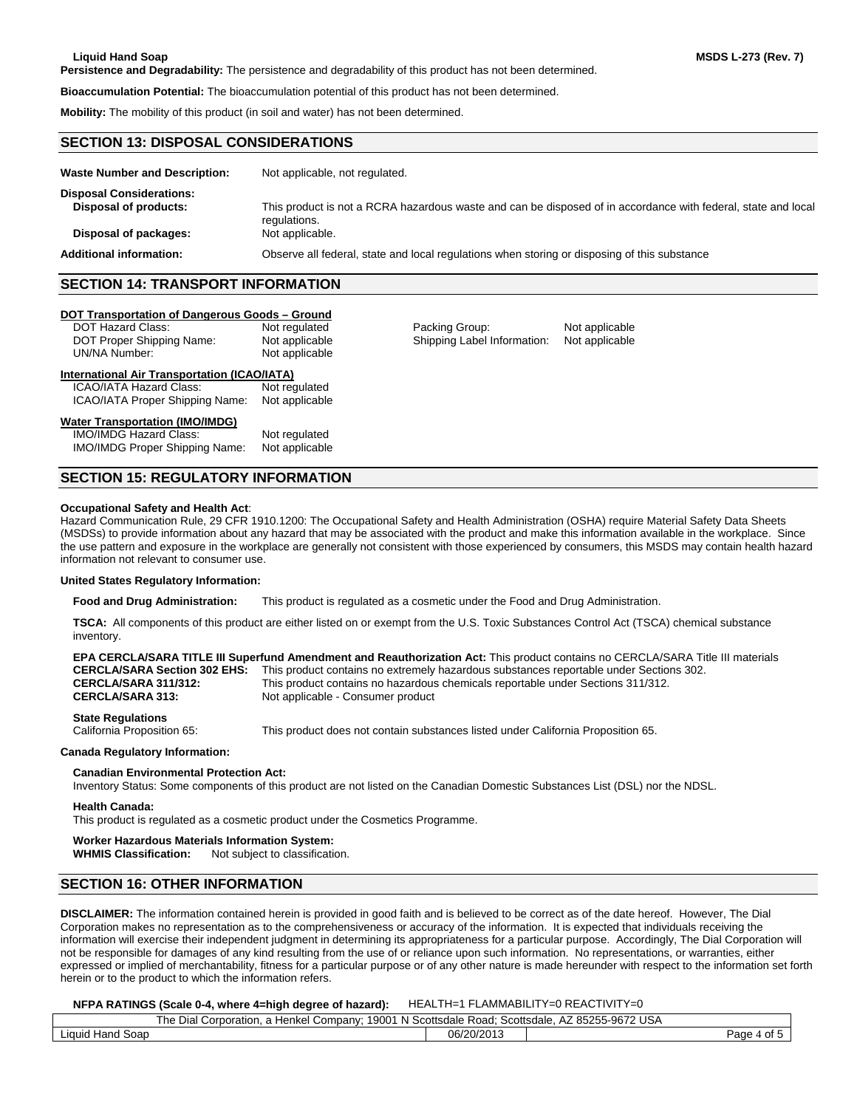**Persistence and Degradability:** The persistence and degradability of this product has not been determined.

**Bioaccumulation Potential:** The bioaccumulation potential of this product has not been determined.

**Mobility:** The mobility of this product (in soil and water) has not been determined.

#### **SECTION 13: DISPOSAL CONSIDERATIONS**

| <b>Waste Number and Description:</b> | Not applicable, not regulated.                                                                                                |
|--------------------------------------|-------------------------------------------------------------------------------------------------------------------------------|
| <b>Disposal Considerations:</b>      |                                                                                                                               |
| Disposal of products:                | This product is not a RCRA hazardous waste and can be disposed of in accordance with federal, state and local<br>regulations. |
| Disposal of packages:                | Not applicable.                                                                                                               |
| <b>Additional information:</b>       | Observe all federal, state and local regulations when storing or disposing of this substance                                  |

# **SECTION 14: TRANSPORT INFORMATION**

#### **DOT Transportation of Dangerous Goods - Ground**

| DOT Hazard Class:         | Not regulated  |
|---------------------------|----------------|
| DOT Proper Shipping Name: | Not applicable |
| UN/NA Number:             | Not applicable |

Packing Group: Not applicable Shipping Label Information: Not applicable

# **International Air Transportation (ICAO/IATA)**

ICAO/IATA Hazard Class: Not regulated<br>ICAO/IATA Proper Shipping Name: Not applicable **ICAO/IATA Proper Shipping Name:** 

#### <sup>U</sup>**Water Transportation (IMO/IMDG)**

IMO/IMDG Hazard Class: Not regulated<br>IMO/IMDG Proper Shipping Name: Not applicable **IMO/IMDG Proper Shipping Name:** 

## **SECTION 15: REGULATORY INFORMATION**

#### **Occupational Safety and Health Act**:

Hazard Communication Rule, 29 CFR 1910.1200: The Occupational Safety and Health Administration (OSHA) require Material Safety Data Sheets (MSDSs) to provide information about any hazard that may be associated with the product and make this information available in the workplace. Since the use pattern and exposure in the workplace are generally not consistent with those experienced by consumers, this MSDS may contain health hazard information not relevant to consumer use.

#### **United States Regulatory Information:**

**Food and Drug Administration:** This product is regulated as a cosmetic under the Food and Drug Administration.

**TSCA:** All components of this product are either listed on or exempt from the U.S. Toxic Substances Control Act (TSCA) chemical substance inventory.

|                                                        | <b>EPA CERCLA/SARA TITLE III Superfund Amendment and Reauthorization Act: This product contains no CERCLA/SARA Title III materials</b> |
|--------------------------------------------------------|----------------------------------------------------------------------------------------------------------------------------------------|
| <b>CERCLA/SARA Section 302 EHS:</b>                    | This product contains no extremely hazardous substances reportable under Sections 302.                                                 |
| <b>CERCLA/SARA 311/312:</b>                            | This product contains no hazardous chemicals reportable under Sections 311/312.                                                        |
| <b>CERCLA/SARA 313:</b>                                | Not applicable - Consumer product                                                                                                      |
| <b>State Regulations</b><br>California Proposition 65: | This product does not contain substances listed under California Proposition 65.                                                       |

**Canada Regulatory Information:**

### **Canadian Environmental Protection Act:**

Inventory Status: Some components of this product are not listed on the Canadian Domestic Substances List (DSL) nor the NDSL.

### **Health Canada:**

This product is regulated as a cosmetic product under the Cosmetics Programme.

# **Worker Hazardous Materials Information System:**

**WHMIS Classification:** Not subject to classification.

# **SECTION 16: OTHER INFORMATION**

**DISCLAIMER:** The information contained herein is provided in good faith and is believed to be correct as of the date hereof. However, The Dial Corporation makes no representation as to the comprehensiveness or accuracy of the information. It is expected that individuals receiving the information will exercise their independent judgment in determining its appropriateness for a particular purpose. Accordingly, The Dial Corporation will not be responsible for damages of any kind resulting from the use of or reliance upon such information. No representations, or warranties, either expressed or implied of merchantability, fitness for a particular purpose or of any other nature is made hereunder with respect to the information set forth herein or to the product to which the information refers.

#### **NFPA RATINGS (Scale 0-4, where 4=high degree of hazard):** HEALTH=1 FLAMMABILITY=0 REACTIVITY=0

| -9672 USA<br>The.<br>9001<br>- 97<br>Scottsdale<br>Dial<br>Company∵<br>Scottsdale<br>Road<br>Henkel<br>, poration<br>$\sim$ rn<br>$A_{\mathcal{L}}$<br>ントト<br>N<br>-5522<br>w<br>ີ |  |            |                      |  |
|------------------------------------------------------------------------------------------------------------------------------------------------------------------------------------|--|------------|----------------------|--|
| Soap<br>Liquid 1<br>Hand                                                                                                                                                           |  | 06/20/2013 | ≌aαe<br>$\mathbf{u}$ |  |
|                                                                                                                                                                                    |  |            |                      |  |